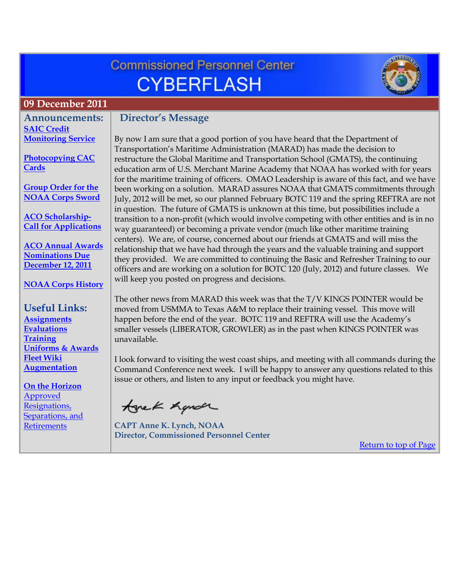# **Commissioned Personnel Center CYBERFLASH**



#### <span id="page-0-0"></span>**09 December 2011**

**Announcements: [SAIC Credit](#page-1-0)  [Monitoring Service](#page-1-0)**

**[Photocopying CAC](#page-1-1)  [Cards](#page-1-1)**

**[Group Order for the](#page-1-2)  [NOAA Corps Sword](#page-1-2)**

**[ACO Scholarship-](#page-1-3)[Call for Applications](#page-1-3)**

**[ACO Annual Awards](#page-2-0)  [Nominations Due](#page-2-0)  [December 12, 2011](#page-2-0)**

**[NOAA Corps History](#page-3-0)**

#### **Useful Links:**

**[Assignments](http://www.corpscpc.noaa.gov/careermgmt/assignments.html) [Evaluations](http://www.corpscpc.noaa.gov/careermgmt/evaluation.html) [Training](http://www.corpscpc.noaa.gov/careermgmt/training.html) [Uniforms & Awards](http://www.corpscpc.noaa.gov/perservices/awards.html) [Fleet Wiki](https://www.st.nmfs.noaa.gov/confluence/display/FleetWiki/Home) [Augmentation](http://www.corpscpc.noaa.gov/cpchome/augmentation.html)**

**On the Horizon** Approved Resignations, Separations, and **Retirements** 

### **Director's Message**

By now I am sure that a good portion of you have heard that the Department of Transportation's Maritime Administration (MARAD) has made the decision to restructure the Global Maritime and Transportation School (GMATS), the continuing education arm of U.S. Merchant Marine Academy that NOAA has worked with for years for the maritime training of officers. OMAO Leadership is aware of this fact, and we have been working on a solution. MARAD assures NOAA that GMATS commitments through July, 2012 will be met, so our planned February BOTC 119 and the spring REFTRA are not in question. The future of GMATS is unknown at this time, but possibilities include a transition to a non-profit (which would involve competing with other entities and is in no way guaranteed) or becoming a private vendor (much like other maritime training centers). We are, of course, concerned about our friends at GMATS and will miss the relationship that we have had through the years and the valuable training and support they provided. We are committed to continuing the Basic and Refresher Training to our officers and are working on a solution for BOTC 120 (July, 2012) and future classes. We will keep you posted on progress and decisions.

The other news from MARAD this week was that the T/V KINGS POINTER would be moved from USMMA to Texas A&M to replace their training vessel. This move will happen before the end of the year. BOTC 119 and REFTRA will use the Academy's smaller vessels (LIBERATOR, GROWLER) as in the past when KINGS POINTER was unavailable.

I look forward to visiting the west coast ships, and meeting with all commands during the Command Conference next week. I will be happy to answer any questions related to this issue or others, and listen to any input or feedback you might have.

tonek hande

**CAPT Anne K. Lynch, NOAA Director, Commissioned Personnel Center**

[Return to top of Page](#page-0-0)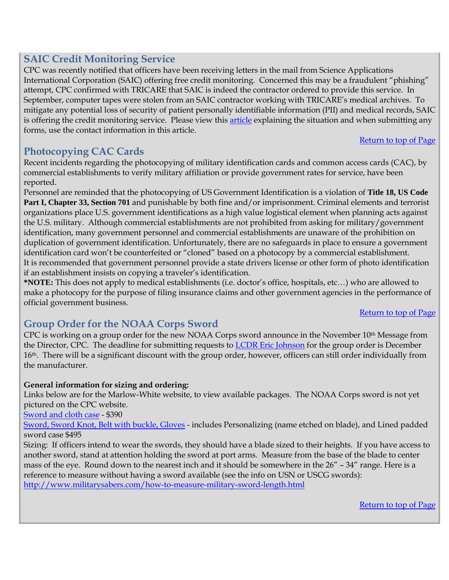### <span id="page-1-0"></span>**SAIC Credit Monitoring Service**

CPC was recently notified that officers have been receiving letters in the mail from Science Applications International Corporation (SAIC) offering free credit monitoring. Concerned this may be a fraudulent "phishing" attempt, CPC confirmed with TRICARE that SAIC is indeed the contractor ordered to provide this service. In September, computer tapes were stolen from an SAIC contractor working with TRICARE's medical archives. To mitigate any potential loss of security of patient personally identifiable information (PII) and medical records, SAIC is offering the credit monitoring service. Please view this [article](http://www.tricare.mil/mediacenter/news.aspx?fid=738) explaining the situation and when submitting any forms, use the contact information in this article.

[Return to top of Page](#page-0-0)

### <span id="page-1-1"></span>**Photocopying CAC Cards**

Recent incidents regarding the photocopying of military identification cards and common access cards (CAC), by commercial establishments to verify military affiliation or provide government rates for service, have been reported.

Personnel are reminded that the photocopying of US Government Identification is a violation of **Title 18, US Code Part I, Chapter 33, Section 701** and punishable by both fine and/or imprisonment. Criminal elements and terrorist organizations place U.S. government identifications as a high value logistical element when planning acts against the U.S. military. Although commercial establishments are not prohibited from asking for military/government identification, many government personnel and commercial establishments are unaware of the prohibition on duplication of government identification. Unfortunately, there are no safeguards in place to ensure a government identification card won't be counterfeited or "cloned" based on a photocopy by a commercial establishment. It is recommended that government personnel provide a state drivers license or other form of photo identification if an establishment insists on copying a traveler's identification.

**\*NOTE:** This does not apply to medical establishments (i.e. doctor's office, hospitals, etc…) who are allowed to make a photocopy for the purpose of filing insurance claims and other government agencies in the performance of official government business.

#### [Return to top of Page](#page-0-0)

### <span id="page-1-2"></span>**Group Order for the NOAA Corps Sword**

CPC is working on a group order for the new NOAA Corps sword announce in the November 10<sup>th</sup> Message from the Director, CPC. The deadline for submitting requests to [LCDR Eric Johnson](mailto:eric.t.johnson@noaa.gov?subject=Sword%20Request) for the group order is December 16th. There will be a significant discount with the group order, however, officers can still order individually from the manufacturer.

#### **General information for sizing and ordering:**

Links below are for the Marlow-White website, to view available packages. The NOAA Corps sword is not yet pictured on the CPC website.

[Sword and cloth case](http://www.militarysabers.com/noaa-sword.html) - \$390

[Sword, Sword Knot, Belt with buckle, Gloves](http://www.militarysabers.com/noaa-sword-package.html) - includes Personalizing (name etched on blade), and Lined padded sword case \$495

<span id="page-1-3"></span>Sizing: If officers intend to wear the swords, they should have a blade sized to their heights. If you have access to another sword, stand at attention holding the sword at port arms. Measure from the base of the blade to center mass of the eye. Round down to the nearest inch and it should be somewhere in the 26" – 34" range. Here is a reference to measure without having a sword available (see the info on USN or USCG swords): <http://www.militarysabers.com/how-to-measure-military-sword-length.html>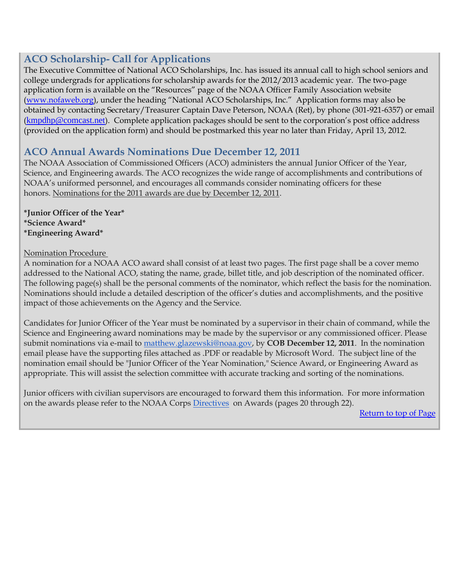### **ACO Scholarship- Call for Applications**

The Executive Committee of National ACO Scholarships, Inc. has issued its annual call to high school seniors and college undergrads for applications for scholarship awards for the 2012/2013 academic year. The two-page application form is available on the "Resources" page of the NOAA Officer Family Association website [\(www.nofaweb.org\)](http://www.nofaweb.org/), under the heading "National ACO Scholarships, Inc." Application forms may also be obtained by contacting Secretary/Treasurer Captain Dave Peterson, NOAA (Ret), by phone (301-921-6357) or email ([kmpdhp@comcast.net](mailto:kmpdhp@comcast.net)). Complete application packages should be sent to the corporation's post office address (provided on the application form) and should be postmarked this year no later than Friday, April 13, 2012.

### <span id="page-2-0"></span>**ACO Annual Awards Nominations Due December 12, 2011**

The NOAA Association of Commissioned Officers (ACO) administers the annual Junior Officer of the Year, Science, and Engineering awards. The ACO recognizes the wide range of accomplishments and contributions of NOAA's uniformed personnel, and encourages all commands consider nominating officers for these honors. Nominations for the 2011 awards are due by December 12, 2011.

**\*Junior Officer of the Year\* \*Science Award\* \*Engineering Award\***

#### Nomination Procedure

A nomination for a NOAA ACO award shall consist of at least two pages. The first page shall be a cover memo addressed to the National ACO, stating the name, grade, billet title, and job description of the nominated officer. The following page(s) shall be the personal comments of the nominator, which reflect the basis for the nomination. Nominations should include a detailed description of the officer's duties and accomplishments, and the positive impact of those achievements on the Agency and the Service.

Candidates for Junior Officer of the Year must be nominated by a supervisor in their chain of command, while the Science and Engineering award nominations may be made by the supervisor or any commissioned officer. Please submit nominations via e-mail to [matthew.glazewski@noaa.gov,](mailto:matthew.glazewski@noaa.gov) by **COB December 12, 2011**. In the nomination email please have the supporting files attached as .PDF or readable by Microsoft Word. The subject line of the nomination email should be "Junior Officer of the Year Nomination," Science Award, or Engineering Award as appropriate. This will assist the selection committee with accurate tracking and sorting of the nominations.

Junior officers with civilian supervisors are encouraged to forward them this information. For more information on the awards please refer to the NOAA Corps **Directives** on Awards (pages 20 through 22).

[Return to top of Page](#page-0-0)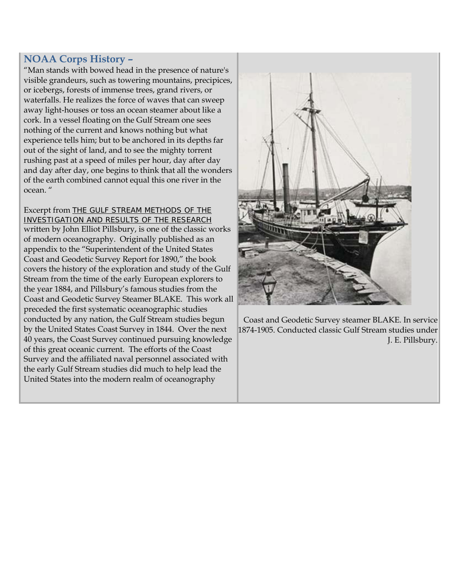#### <span id="page-3-0"></span>**NOAA Corps History –**

"Man stands with bowed head in the presence of nature's visible grandeurs, such as towering mountains, precipices, or icebergs, forests of immense trees, grand rivers, or waterfalls. He realizes the force of waves that can sweep away light-houses or toss an ocean steamer about like a cork. In a vessel floating on the Gulf Stream one sees nothing of the current and knows nothing but what experience tells him; but to be anchored in its depths far out of the sight of land, and to see the mighty torrent rushing past at a speed of miles per hour, day after day and day after day, one begins to think that all the wonders of the earth combined cannot equal this one river in the ocean. "

Excerpt from THE GULF STREAM METHODS OF THE INVESTIGATION AND RESULTS OF THE RESEARCH written by John Elliot Pillsbury, is one of the classic works of modern oceanography. Originally published as an appendix to the "Superintendent of the United States Coast and Geodetic Survey Report for 1890," the book covers the history of the exploration and study of the Gulf Stream from the time of the early European explorers to the year 1884, and Pillsbury's famous studies from the Coast and Geodetic Survey Steamer BLAKE. This work all preceded the first systematic oceanographic studies conducted by any nation, the Gulf Stream studies begun by the United States Coast Survey in 1844. Over the next 40 years, the Coast Survey continued pursuing knowledge of this great oceanic current. The efforts of the Coast Survey and the affiliated naval personnel associated with the early Gulf Stream studies did much to help lead the United States into the modern realm of oceanography



Coast and Geodetic Survey steamer BLAKE. In service 1874-1905. Conducted classic Gulf Stream studies under J. E. Pillsbury.